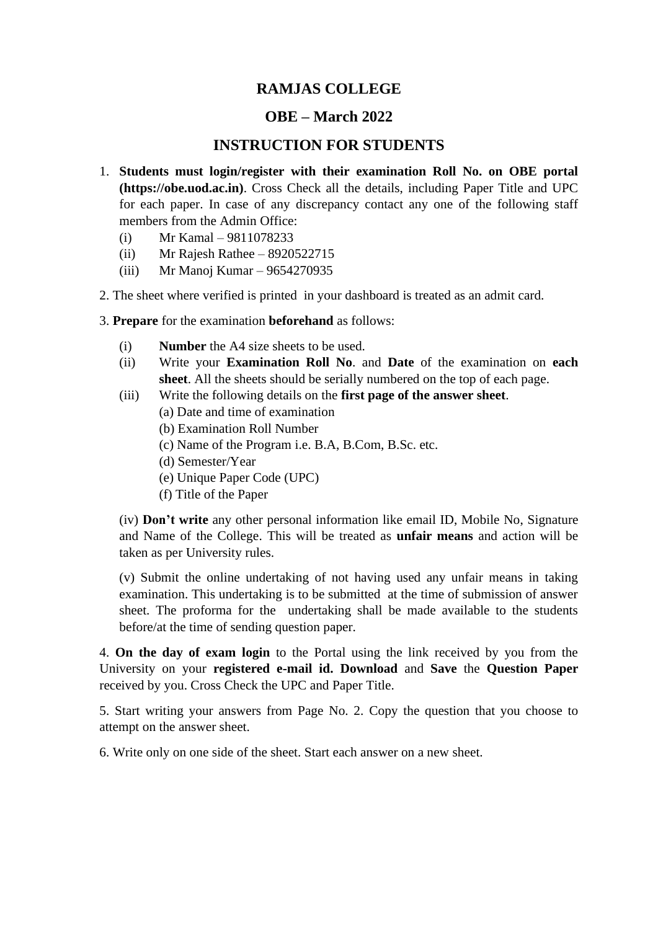## **RAMJAS COLLEGE**

## **OBE – March 2022**

## **INSTRUCTION FOR STUDENTS**

- 1. **Students must login/register with their examination Roll No. on OBE portal (https://obe.uod.ac.in)**. Cross Check all the details, including Paper Title and UPC for each paper. In case of any discrepancy contact any one of the following staff members from the Admin Office:
	- (i) Mr Kamal 9811078233
	- (ii) Mr Rajesh Rathee 8920522715
	- (iii) Mr Manoj Kumar 9654270935
- 2. The sheet where verified is printed in your dashboard is treated as an admit card.
- 3. **Prepare** for the examination **beforehand** as follows:
	- (i) **Number** the A4 size sheets to be used.
	- (ii) Write your **Examination Roll No**. and **Date** of the examination on **each sheet**. All the sheets should be serially numbered on the top of each page.
	- (iii) Write the following details on the **first page of the answer sheet**.
		- (a) Date and time of examination
		- (b) Examination Roll Number
		- (c) Name of the Program i.e. B.A, B.Com, B.Sc. etc.
		- (d) Semester/Year
		- (e) Unique Paper Code (UPC)
		- (f) Title of the Paper

(iv) **Don't write** any other personal information like email ID, Mobile No, Signature and Name of the College. This will be treated as **unfair means** and action will be taken as per University rules.

(v) Submit the online undertaking of not having used any unfair means in taking examination. This undertaking is to be submitted at the time of submission of answer sheet. The proforma for the undertaking shall be made available to the students before/at the time of sending question paper.

4. **On the day of exam login** to the Portal using the link received by you from the University on your **registered e-mail id. Download** and **Save** the **Question Paper** received by you. Cross Check the UPC and Paper Title.

5. Start writing your answers from Page No. 2. Copy the question that you choose to attempt on the answer sheet.

6. Write only on one side of the sheet. Start each answer on a new sheet.